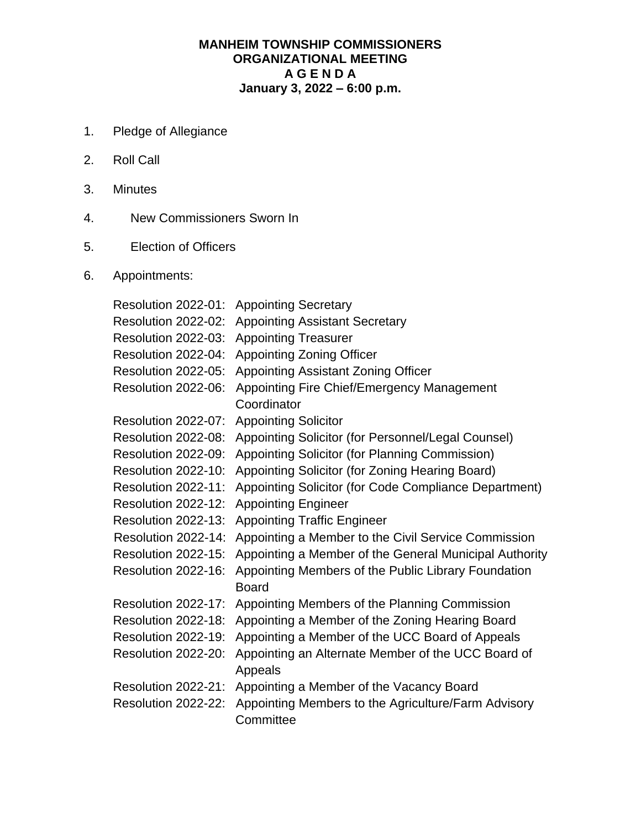## **MANHEIM TOWNSHIP COMMISSIONERS ORGANIZATIONAL MEETING A G E N D A January 3, 2022 – 6:00 p.m.**

- 1. Pledge of Allegiance
- 2. Roll Call
- 3. Minutes
- 4. New Commissioners Sworn In
- 5. Election of Officers
- 6. Appointments:

Resolution 2022-01: Appointing Secretary Resolution 2022-02: Appointing Assistant Secretary Resolution 2022-03: Appointing Treasurer Resolution 2022-04: Appointing Zoning Officer Resolution 2022-05: Appointing Assistant Zoning Officer Resolution 2022-06: Appointing Fire Chief/Emergency Management **Coordinator** Resolution 2022-07: Appointing Solicitor Resolution 2022-08: Appointing Solicitor (for Personnel/Legal Counsel) Resolution 2022-09: Appointing Solicitor (for Planning Commission) Resolution 2022-10: Appointing Solicitor (for Zoning Hearing Board) Resolution 2022-11: Appointing Solicitor (for Code Compliance Department) Resolution 2022-12: Appointing Engineer Resolution 2022-13: Appointing Traffic Engineer Resolution 2022-14: Appointing a Member to the Civil Service Commission Resolution 2022-15: Appointing a Member of the General Municipal Authority Resolution 2022-16: Appointing Members of the Public Library Foundation Board Resolution 2022-17: Appointing Members of the Planning Commission Resolution 2022-18: Appointing a Member of the Zoning Hearing Board Resolution 2022-19: Appointing a Member of the UCC Board of Appeals Resolution 2022-20: Appointing an Alternate Member of the UCC Board of Appeals Resolution 2022-21: Appointing a Member of the Vacancy Board Resolution 2022-22: Appointing Members to the Agriculture/Farm Advisory **Committee**